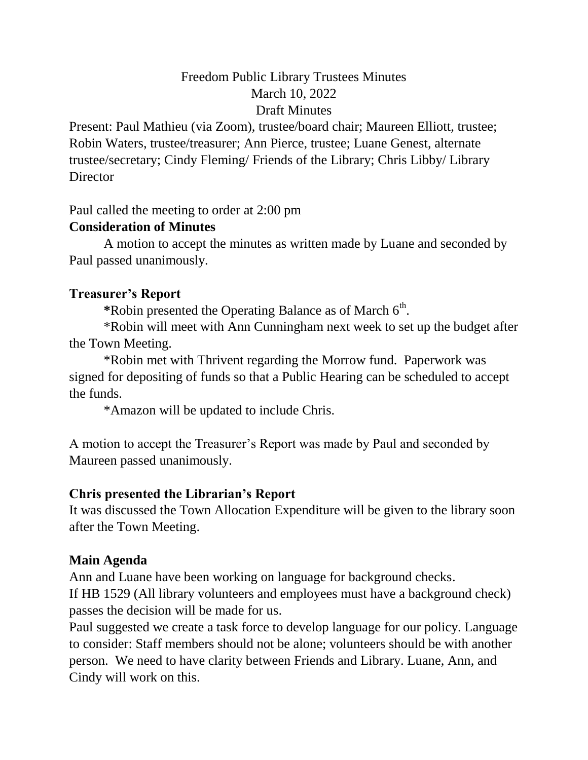# Freedom Public Library Trustees Minutes March 10, 2022 Draft Minutes

Present: Paul Mathieu (via Zoom), trustee/board chair; Maureen Elliott, trustee; Robin Waters, trustee/treasurer; Ann Pierce, trustee; Luane Genest, alternate trustee/secretary; Cindy Fleming/ Friends of the Library; Chris Libby/ Library **Director** 

Paul called the meeting to order at 2:00 pm

#### **Consideration of Minutes**

A motion to accept the minutes as written made by Luane and seconded by Paul passed unanimously.

### **Treasurer's Report**

\*Robin presented the Operating Balance as of March 6<sup>th</sup>.

\*Robin will meet with Ann Cunningham next week to set up the budget after the Town Meeting.

\*Robin met with Thrivent regarding the Morrow fund. Paperwork was signed for depositing of funds so that a Public Hearing can be scheduled to accept the funds.

\*Amazon will be updated to include Chris.

A motion to accept the Treasurer's Report was made by Paul and seconded by Maureen passed unanimously.

## **Chris presented the Librarian's Report**

It was discussed the Town Allocation Expenditure will be given to the library soon after the Town Meeting.

## **Main Agenda**

Ann and Luane have been working on language for background checks. If HB 1529 (All library volunteers and employees must have a background check) passes the decision will be made for us.

Paul suggested we create a task force to develop language for our policy. Language to consider: Staff members should not be alone; volunteers should be with another person. We need to have clarity between Friends and Library. Luane, Ann, and Cindy will work on this.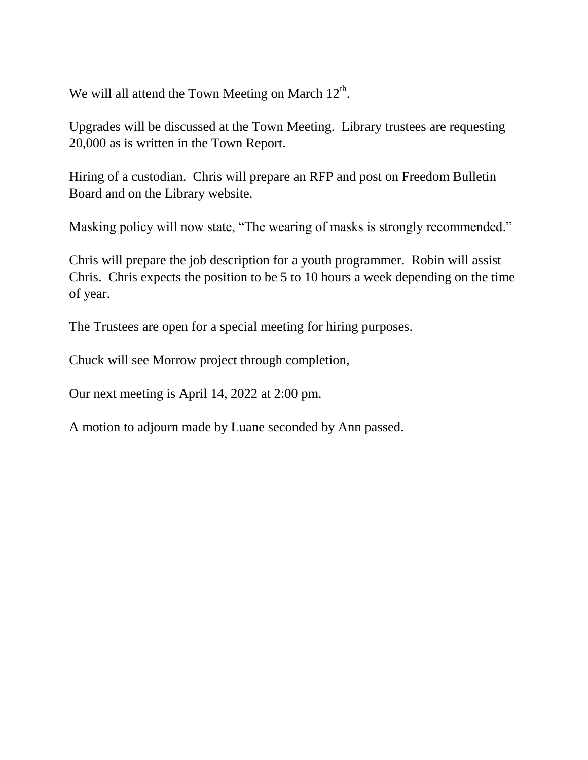We will all attend the Town Meeting on March  $12<sup>th</sup>$ .

Upgrades will be discussed at the Town Meeting. Library trustees are requesting 20,000 as is written in the Town Report.

Hiring of a custodian. Chris will prepare an RFP and post on Freedom Bulletin Board and on the Library website.

Masking policy will now state, "The wearing of masks is strongly recommended."

Chris will prepare the job description for a youth programmer. Robin will assist Chris. Chris expects the position to be 5 to 10 hours a week depending on the time of year.

The Trustees are open for a special meeting for hiring purposes.

Chuck will see Morrow project through completion,

Our next meeting is April 14, 2022 at 2:00 pm.

A motion to adjourn made by Luane seconded by Ann passed.